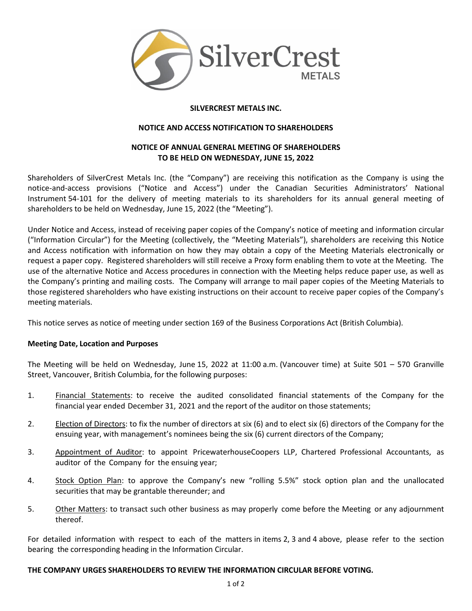

## **SILVERCREST METALS INC.**

### **NOTICE AND ACCESS NOTIFICATION TO SHAREHOLDERS**

# **NOTICE OF ANNUAL GENERAL MEETING OF SHAREHOLDERS TO BE HELD ON WEDNESDAY, JUNE 15, 2022**

Shareholders of SilverCrest Metals Inc. (the "Company") are receiving this notification as the Company is using the notice-and-access provisions ("Notice and Access") under the Canadian Securities Administrators' National Instrument 54-101 for the delivery of meeting materials to its shareholders for its annual general meeting of shareholders to be held on Wednesday, June 15, 2022 (the "Meeting").

Under Notice and Access, instead of receiving paper copies of the Company's notice of meeting and information circular ("Information Circular") for the Meeting (collectively, the "Meeting Materials"), shareholders are receiving this Notice and Access notification with information on how they may obtain a copy of the Meeting Materials electronically or request a paper copy. Registered shareholders will still receive a Proxy form enabling them to vote at the Meeting. The use of the alternative Notice and Access procedures in connection with the Meeting helps reduce paper use, as well as the Company's printing and mailing costs. The Company will arrange to mail paper copies of the Meeting Materials to those registered shareholders who have existing instructions on their account to receive paper copies of the Company's meeting materials.

This notice serves as notice of meeting under section 169 of the Business Corporations Act (British Columbia).

#### **Meeting Date, Location and Purposes**

The Meeting will be held on Wednesday, June 15, 2022 at 11:00 a.m. (Vancouver time) at Suite 501 – 570 Granville Street, Vancouver, British Columbia, for the following purposes:

- 1. Financial Statements: to receive the audited consolidated financial statements of the Company for the financial year ended December 31, 2021 and the report of the auditor on those statements;
- 2. Election of Directors: to fix the number of directors at six (6) and to elect six (6) directors of the Company for the ensuing year, with management's nominees being the six (6) current directors of the Company;
- 3. Appointment of Auditor: to appoint PricewaterhouseCoopers LLP, Chartered Professional Accountants, as auditor of the Company for the ensuing year;
- 4. Stock Option Plan: to approve the Company's new "rolling 5.5%" stock option plan and the unallocated securities that may be grantable thereunder; and
- 5. Other Matters: to transact such other business as may properly come before the Meeting or any adjournment thereof.

For detailed information with respect to each of the matters in items 2, 3 and 4 above, please refer to the section bearing the corresponding heading in the Information Circular.

# **THE COMPANY URGES SHAREHOLDERS TO REVIEW THE INFORMATION CIRCULAR BEFORE VOTING.**